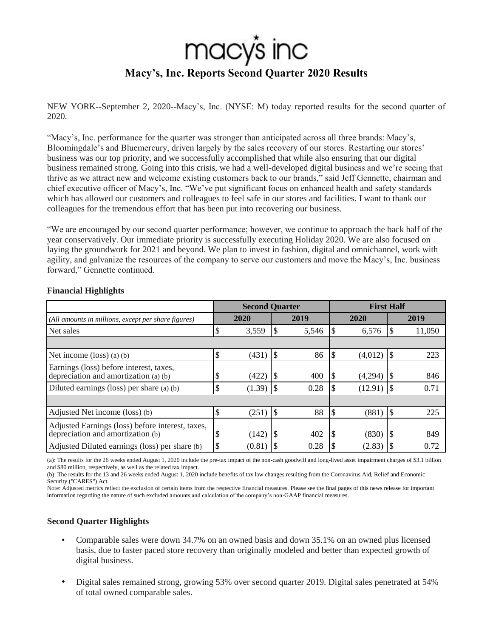# macy's inc **Macy's, Inc. Reports Second Quarter 2020 Results**

NEW YORK--September 2, 2020--Macy's, Inc. (NYSE: M) today reported results for the second quarter of 2020.

"Macy's, Inc. performance for the quarter was stronger than anticipated across all three brands: Macy's, Bloomingdale's and Bluemercury, driven largely by the sales recovery of our stores. Restarting our stores' business was our top priority, and we successfully accomplished that while also ensuring that our digital business remained strong. Going into this crisis, we had a well-developed digital business and we're seeing that thrive as we attract new and welcome existing customers back to our brands," said Jeff Gennette, chairman and chief executive officer of Macy's, Inc. "We've put significant focus on enhanced health and safety standards which has allowed our customers and colleagues to feel safe in our stores and facilities. I want to thank our colleagues for the tremendous effort that has been put into recovering our business.

"We are encouraged by our second quarter performance; however, we continue to approach the back half of the year conservatively. Our immediate priority is successfully executing Holiday 2020. We are also focused on laying the groundwork for 2021 and beyond. We plan to invest in fashion, digital and omnichannel, work with agility, and galvanize the resources of the company to serve our customers and move the Macy's, Inc. business forward," Gennette continued.

|                                                                                       |    | <b>Second Quarter</b> |     |       |               | <b>First Half</b> |                 |        |
|---------------------------------------------------------------------------------------|----|-----------------------|-----|-------|---------------|-------------------|-----------------|--------|
| (All amounts in millions, except per share figures)                                   |    | 2020                  |     | 2019  |               | 2020              |                 | 2019   |
| Net sales                                                                             |    | 3,559                 |     | 5,546 |               | 6,576             |                 | 11,050 |
|                                                                                       |    |                       |     |       |               |                   |                 |        |
| Net income $(\text{loss})$ (a) (b)                                                    | \$ | (431)                 |     | 86    | <sup>\$</sup> | (4,012)           | I\$             | 223    |
| Earnings (loss) before interest, taxes,<br>depreciation and amortization (a) (b)      | J  | (422)                 |     | 400   | <b>S</b>      | (4,294)           |                 | 846    |
| Diluted earnings (loss) per share (a) (b)                                             | \$ |                       |     | 0.28  | <b>S</b>      |                   |                 | 0.71   |
|                                                                                       |    |                       |     |       |               |                   |                 |        |
| Adjusted Net income (loss) (b)                                                        | \$ | (251)                 | 1\$ | 88    | $\mathcal{S}$ | (881)             | $\overline{15}$ | 225    |
| Adjusted Earnings (loss) before interest, taxes,<br>depreciation and amortization (b) | Φ  | (142)                 |     | 402   | <b>S</b>      | (830)             |                 | 849    |
| Adjusted Diluted earnings (loss) per share (b)                                        | \$ | (0.81)                |     | 0.28  |               | (2.83)            |                 | 0.72   |

## **Financial Highlights**

(a): The results for the 26 weeks ended August 1, 2020 include the pre-tax impact of the non-cash goodwill and long-lived asset impairment charges of \$3.1 billion and \$80 million, respectively, as well as the related tax impact.

(b): The results for the 13 and 26 weeks ended August 1, 2020 include benefits of tax law changes resulting from the Coronavirus Aid, Relief and Economic Security ("CARES") Act.

Note: Adjusted metrics reflect the exclusion of certain items from the respective financial measures. Please see the final pages of this news release for important information regarding the nature of such excluded amounts and calculation of the company's non-GAAP financial measures.

# **Second Quarter Highlights**

- Comparable sales were down 34.7% on an owned basis and down 35.1% on an owned plus licensed basis, due to faster paced store recovery than originally modeled and better than expected growth of digital business.
- Digital sales remained strong, growing 53% over second quarter 2019. Digital sales penetrated at 54% of total owned comparable sales.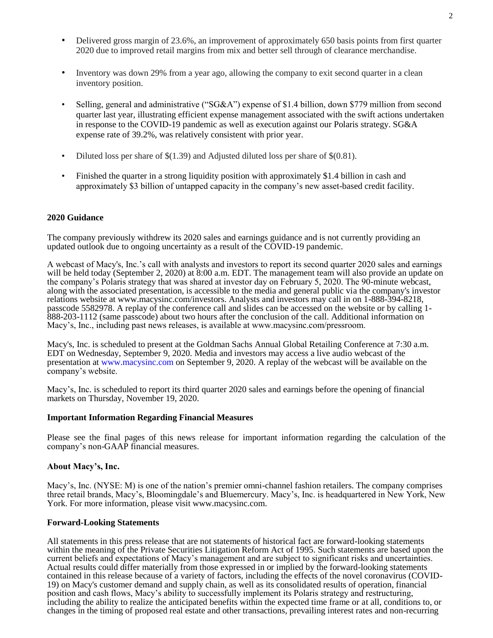- Delivered gross margin of 23.6%, an improvement of approximately 650 basis points from first quarter 2020 due to improved retail margins from mix and better sell through of clearance merchandise.
- Inventory was down 29% from a year ago, allowing the company to exit second quarter in a clean inventory position.
- Selling, general and administrative ("SG&A") expense of \$1.4 billion, down \$779 million from second quarter last year, illustrating efficient expense management associated with the swift actions undertaken in response to the COVID-19 pandemic as well as execution against our Polaris strategy. SG&A expense rate of 39.2%, was relatively consistent with prior year.
- Diluted loss per share of  $$(1.39)$  and Adjusted diluted loss per share of  $$(0.81)$ .
- Finished the quarter in a strong liquidity position with approximately \$1.4 billion in cash and approximately \$3 billion of untapped capacity in the company's new asset-based credit facility.

#### **2020 Guidance**

The company previously withdrew its 2020 sales and earnings guidance and is not currently providing an updated outlook due to ongoing uncertainty as a result of the COVID-19 pandemic.

A webcast of Macy's, Inc.'s call with analysts and investors to report its second quarter 2020 sales and earnings will be held today (September 2, 2020) at 8:00 a.m. EDT. The management team will also provide an update on the company's Polaris strategy that was shared at investor day on February 5, 2020. The 90-minute webcast, along with the associated presentation, is accessible to the media and general public via the company's investor relations website at www.macysinc.com/investors. Analysts and investors may call in on 1-888-394-8218, passcode 5582978. A replay of the conference call and slides can be accessed on the website or by calling 1- 888-203-1112 (same passcode) about two hours after the conclusion of the call. Additional information on Macy's, Inc., including past news releases, is available at www.macysinc.com/pressroom.

Macy's, Inc. is scheduled to present at the Goldman Sachs Annual Global Retailing Conference at 7:30 a.m. EDT on Wednesday, September 9, 2020. Media and investors may access a live audio webcast of the presentation at www.macysinc.com on September 9, 2020. A replay of the webcast will be available on the company's website.

Macy's, Inc. is scheduled to report its third quarter 2020 sales and earnings before the opening of financial markets on Thursday, November 19, 2020.

#### **Important Information Regarding Financial Measures**

Please see the final pages of this news release for important information regarding the calculation of the company's non-GAAP financial measures.

#### **About Macy's, Inc.**

Macy's, Inc. (NYSE: M) is one of the nation's premier omni-channel fashion retailers. The company comprises three retail brands, Macy's, Bloomingdale's and Bluemercury. Macy's, Inc. is headquartered in New York, New York. For more information, please visit www.macysinc.com.

#### **Forward-Looking Statements**

All statements in this press release that are not statements of historical fact are forward-looking statements within the meaning of the Private Securities Litigation Reform Act of 1995. Such statements are based upon the current beliefs and expectations of Macy's management and are subject to significant risks and uncertainties. Actual results could differ materially from those expressed in or implied by the forward-looking statements contained in this release because of a variety of factors, including the effects of the novel coronavirus (COVID-19) on Macy's customer demand and supply chain, as well as its consolidated results of operation, financial position and cash flows, Macy's ability to successfully implement its Polaris strategy and restructuring, including the ability to realize the anticipated benefits within the expected time frame or at all, conditions to, or changes in the timing of proposed real estate and other transactions, prevailing interest rates and non-recurring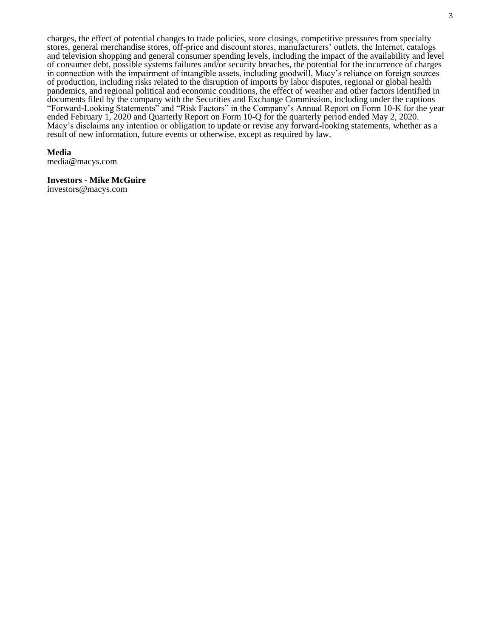charges, the effect of potential changes to trade policies, store closings, competitive pressures from specialty stores, general merchandise stores, off-price and discount stores, manufacturers' outlets, the Internet, catalogs and television shopping and general consumer spending levels, including the impact of the availability and level of consumer debt, possible systems failures and/or security breaches, the potential for the incurrence of charges in connection with the impairment of intangible assets, including goodwill, Macy's reliance on foreign sources of production, including risks related to the disruption of imports by labor disputes, regional or global health pandemics, and regional political and economic conditions, the effect of weather and other factors identified in documents filed by the company with the Securities and Exchange Commission, including under the captions "Forward-Looking Statements" and "Risk Factors" in the Company's Annual Report on Form 10-K for the year ended February 1, 2020 and Quarterly Report on Form 10-Q for the quarterly period ended May 2, 2020. Macy's disclaims any intention or obligation to update or revise any forward-looking statements, whether as a result of new information, future events or otherwise, except as required by law.

#### **Media**

media@macys.com

#### **Investors - Mike McGuire**

investors@macys.com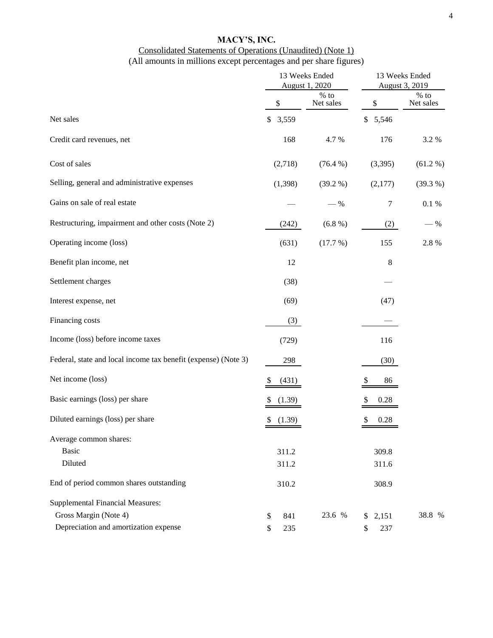# **MACY'S, INC.** Consolidated Statements of Operations (Unaudited) (Note 1)

# (All amounts in millions except percentages and per share figures)

|                                                                |             | 13 Weeks Ended<br>August 1, 2020 | 13 Weeks Ended<br>August 3, 2019 |                     |  |  |
|----------------------------------------------------------------|-------------|----------------------------------|----------------------------------|---------------------|--|--|
|                                                                | \$          | $%$ to<br>Net sales              | \$                               | $%$ to<br>Net sales |  |  |
| Net sales                                                      | \$<br>3,559 |                                  | 5,546<br>\$                      |                     |  |  |
| Credit card revenues, net                                      | 168         | 4.7%                             | 176                              | 3.2%                |  |  |
| Cost of sales                                                  | (2,718)     | $(76.4\%)$                       | (3,395)                          | (61.2 %)            |  |  |
| Selling, general and administrative expenses                   | (1, 398)    | $(39.2\%)$                       | (2,177)                          | (39.3 %)            |  |  |
| Gains on sale of real estate                                   |             | $-$ %                            | 7                                | 0.1 %               |  |  |
| Restructuring, impairment and other costs (Note 2)             | (242)       | $(6.8\%)$                        | (2)                              | $-$ %               |  |  |
| Operating income (loss)                                        | (631)       | (17.7%)                          | 155                              | 2.8%                |  |  |
| Benefit plan income, net                                       | 12          |                                  | $\,$ 8 $\,$                      |                     |  |  |
| Settlement charges                                             | (38)        |                                  |                                  |                     |  |  |
| Interest expense, net                                          | (69)        |                                  | (47)                             |                     |  |  |
| Financing costs                                                | (3)         |                                  |                                  |                     |  |  |
| Income (loss) before income taxes                              | (729)       |                                  | 116                              |                     |  |  |
| Federal, state and local income tax benefit (expense) (Note 3) | 298         |                                  | (30)                             |                     |  |  |
| Net income (loss)                                              | (431)<br>\$ |                                  | 86                               |                     |  |  |
| Basic earnings (loss) per share                                | (1.39)      |                                  | 0.28                             |                     |  |  |
| Diluted earnings (loss) per share                              | (1.39)      |                                  | 0.28                             |                     |  |  |
| Average common shares:                                         |             |                                  |                                  |                     |  |  |
| <b>Basic</b>                                                   | 311.2       |                                  | 309.8                            |                     |  |  |
| Diluted                                                        | 311.2       |                                  | 311.6                            |                     |  |  |
| End of period common shares outstanding                        | 310.2       |                                  | 308.9                            |                     |  |  |
| <b>Supplemental Financial Measures:</b>                        |             |                                  |                                  |                     |  |  |
| Gross Margin (Note 4)                                          | 841<br>\$   | 23.6 %                           | 2,151<br>\$                      | 38.8 %              |  |  |
| Depreciation and amortization expense                          | 235<br>\$   |                                  | 237<br>\$                        |                     |  |  |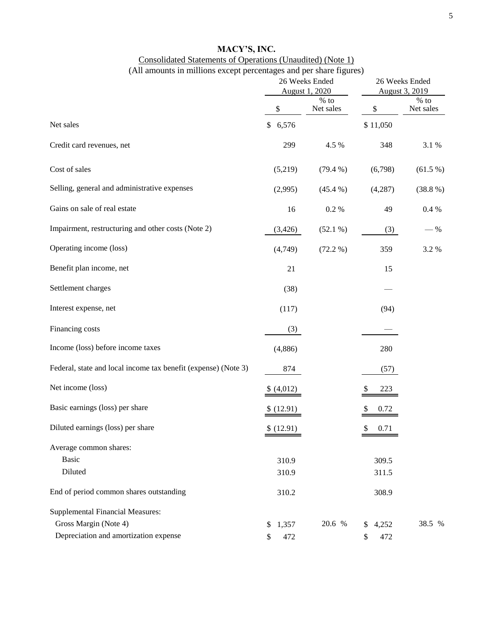# **MACY'S, INC.** Consolidated Statements of Operations (Unaudited) (Note 1) (All amounts in millions except percentages and per share figures)

|                                                                |             | $\epsilon$ and per share $\epsilon$ $\epsilon$ $\epsilon$<br>26 Weeks Ended<br>August 1, 2020 | 26 Weeks Ended<br>August 3, 2019 |                     |  |
|----------------------------------------------------------------|-------------|-----------------------------------------------------------------------------------------------|----------------------------------|---------------------|--|
|                                                                | \$          | $%$ to<br>Net sales                                                                           | \$                               | $%$ to<br>Net sales |  |
| Net sales                                                      | \$<br>6,576 |                                                                                               | \$11,050                         |                     |  |
| Credit card revenues, net                                      | 299         | 4.5 %                                                                                         | 348                              | 3.1 %               |  |
| Cost of sales                                                  | (5,219)     | (79.4%                                                                                        | (6,798)                          | $(61.5\%)$          |  |
| Selling, general and administrative expenses                   | (2,995)     | $(45.4\%)$                                                                                    | (4,287)                          | $(38.8\%)$          |  |
| Gains on sale of real estate                                   | 16          | 0.2 %                                                                                         | 49                               | 0.4 %               |  |
| Impairment, restructuring and other costs (Note 2)             | (3,426)     | $(52.1\%)$                                                                                    | (3)                              | $-$ %               |  |
| Operating income (loss)                                        | (4,749)     | (72.2 %)                                                                                      | 359                              | 3.2 %               |  |
| Benefit plan income, net                                       | 21          |                                                                                               | 15                               |                     |  |
| Settlement charges                                             | (38)        |                                                                                               |                                  |                     |  |
| Interest expense, net                                          | (117)       |                                                                                               | (94)                             |                     |  |
| Financing costs                                                | (3)         |                                                                                               |                                  |                     |  |
| Income (loss) before income taxes                              | (4,886)     |                                                                                               | 280                              |                     |  |
| Federal, state and local income tax benefit (expense) (Note 3) | 874         |                                                                                               | (57)                             |                     |  |
| Net income (loss)                                              | \$(4,012)   |                                                                                               | 223                              |                     |  |
| Basic earnings (loss) per share                                | \$(12.91)   |                                                                                               | 0.72                             |                     |  |
| Diluted earnings (loss) per share                              | \$(12.91)   |                                                                                               | \$<br>0.71                       |                     |  |
| Average common shares:                                         |             |                                                                                               |                                  |                     |  |
| <b>Basic</b>                                                   | 310.9       |                                                                                               | 309.5                            |                     |  |
| Diluted                                                        | 310.9       |                                                                                               | 311.5                            |                     |  |
| End of period common shares outstanding                        | 310.2       |                                                                                               | 308.9                            |                     |  |
| <b>Supplemental Financial Measures:</b>                        |             |                                                                                               |                                  |                     |  |
| Gross Margin (Note 4)                                          | 1,357<br>\$ | 20.6 %                                                                                        | \$4,252                          | 38.5 %              |  |
| Depreciation and amortization expense                          | 472         |                                                                                               | 472<br>\$                        |                     |  |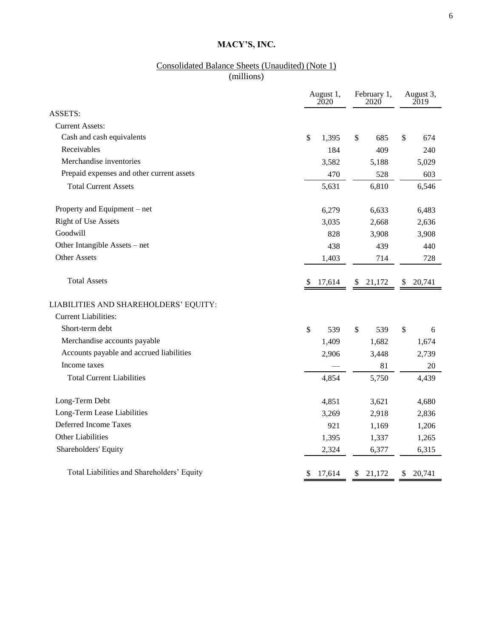# Consolidated Balance Sheets (Unaudited) (Note 1) (millions)

|                                            | August 1,<br>2020 | February 1,<br>2020 | August 3,<br>2019 |
|--------------------------------------------|-------------------|---------------------|-------------------|
| <b>ASSETS:</b>                             |                   |                     |                   |
| <b>Current Assets:</b>                     |                   |                     |                   |
| Cash and cash equivalents                  | \$<br>1,395       | \$<br>685           | \$<br>674         |
| Receivables                                | 184               | 409                 | 240               |
| Merchandise inventories                    | 3,582             | 5,188               | 5,029             |
| Prepaid expenses and other current assets  | 470               | 528                 | 603               |
| <b>Total Current Assets</b>                | 5,631             | 6,810               | 6,546             |
| Property and Equipment – net               | 6,279             | 6,633               | 6,483             |
| <b>Right of Use Assets</b>                 | 3,035             | 2,668               | 2,636             |
| Goodwill                                   | 828               | 3,908               | 3,908             |
| Other Intangible Assets – net              | 438               | 439                 | 440               |
| <b>Other Assets</b>                        | 1,403             | 714                 | 728               |
| <b>Total Assets</b>                        | 17,614<br>\$      | 21,172<br>\$        | 20,741<br>\$      |
| LIABILITIES AND SHAREHOLDERS' EQUITY:      |                   |                     |                   |
| <b>Current Liabilities:</b>                |                   |                     |                   |
| Short-term debt                            | \$<br>539         | \$<br>539           | \$<br>6           |
| Merchandise accounts payable               | 1,409             | 1,682               | 1,674             |
| Accounts payable and accrued liabilities   | 2,906             | 3,448               | 2,739             |
| Income taxes                               |                   | 81                  | 20                |
| <b>Total Current Liabilities</b>           | 4,854             | 5,750               | 4,439             |
| Long-Term Debt                             | 4,851             | 3,621               | 4,680             |
| Long-Term Lease Liabilities                | 3,269             | 2,918               | 2,836             |
| Deferred Income Taxes                      | 921               | 1,169               | 1,206             |
| Other Liabilities                          | 1,395             | 1,337               | 1,265             |
| Shareholders' Equity                       | 2,324             | 6,377               | 6,315             |
| Total Liabilities and Shareholders' Equity | \$<br>17,614      | \$<br>21,172        | \$<br>20,741      |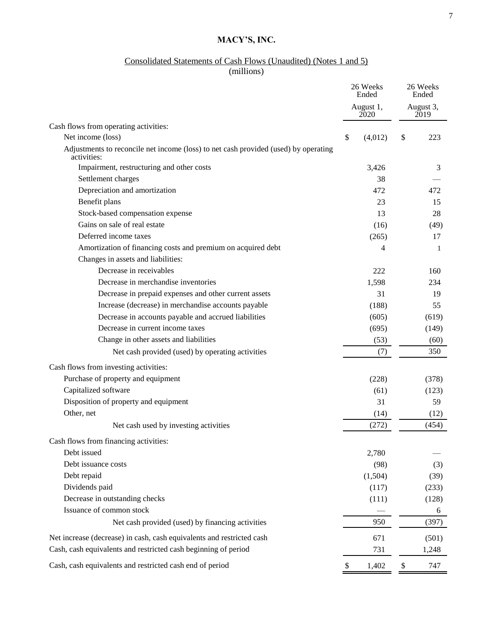#### Consolidated Statements of Cash Flows (Unaudited) (Notes 1 and 5)

(millions)

|                                                                                                    |    | 26 Weeks<br>Ended | 26 Weeks<br>Ended |
|----------------------------------------------------------------------------------------------------|----|-------------------|-------------------|
|                                                                                                    |    | August 1,<br>2020 | August 3,<br>2019 |
| Cash flows from operating activities:                                                              |    |                   |                   |
| Net income (loss)                                                                                  | \$ | (4,012)           | \$<br>223         |
| Adjustments to reconcile net income (loss) to net cash provided (used) by operating<br>activities: |    |                   |                   |
| Impairment, restructuring and other costs                                                          |    | 3,426             | 3                 |
| Settlement charges                                                                                 |    | 38                |                   |
| Depreciation and amortization                                                                      |    | 472               | 472.              |
| Benefit plans                                                                                      |    | 23                | 15                |
| Stock-based compensation expense                                                                   |    | 13                | 28                |
| Gains on sale of real estate                                                                       |    | (16)              | (49)              |
| Deferred income taxes                                                                              |    | (265)             | 17                |
| Amortization of financing costs and premium on acquired debt                                       |    | 4                 | 1                 |
| Changes in assets and liabilities:                                                                 |    |                   |                   |
| Decrease in receivables                                                                            |    | 222               | 160               |
| Decrease in merchandise inventories                                                                |    | 1,598             | 234               |
| Decrease in prepaid expenses and other current assets                                              |    | 31                | 19                |
| Increase (decrease) in merchandise accounts payable                                                |    | (188)             | 55                |
| Decrease in accounts payable and accrued liabilities                                               |    | (605)             | (619)             |
| Decrease in current income taxes                                                                   |    | (695)             | (149)             |
| Change in other assets and liabilities                                                             |    | (53)              | (60)              |
| Net cash provided (used) by operating activities                                                   |    | (7)               | 350               |
| Cash flows from investing activities:                                                              |    |                   |                   |
| Purchase of property and equipment                                                                 |    | (228)             | (378)             |
| Capitalized software                                                                               |    | (61)              | (123)             |
| Disposition of property and equipment                                                              |    | 31                | 59                |
| Other, net                                                                                         |    | (14)              | (12)              |
| Net cash used by investing activities                                                              |    | (272)             | (454)             |
| Cash flows from financing activities:                                                              |    |                   |                   |
| Debt issued                                                                                        |    | 2,780             |                   |
| Debt issuance costs                                                                                |    | (98)              | (3)               |
| Debt repaid                                                                                        |    | (1,504)           | (39)              |
| Dividends paid                                                                                     |    | (117)             | (233)             |
| Decrease in outstanding checks                                                                     |    | (111)             | (128)             |
| Issuance of common stock                                                                           |    |                   | 6                 |
| Net cash provided (used) by financing activities                                                   |    | 950               | (397)             |
| Net increase (decrease) in cash, cash equivalents and restricted cash                              |    | 671               | (501)             |
| Cash, cash equivalents and restricted cash beginning of period                                     |    | 731               | 1,248             |
| Cash, cash equivalents and restricted cash end of period                                           | \$ | 1,402             | \$<br>747         |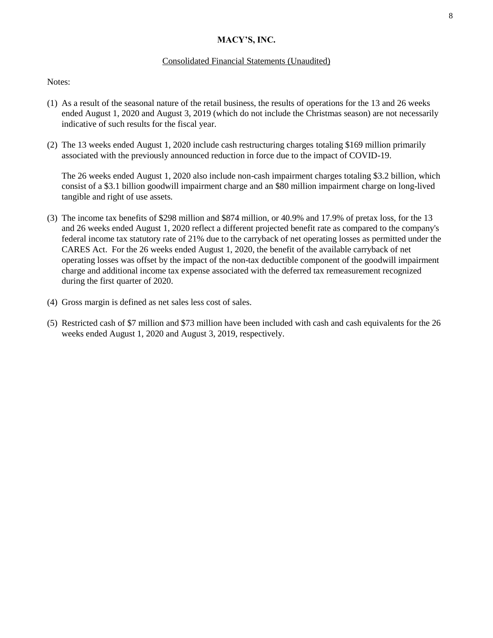### Consolidated Financial Statements (Unaudited)

#### Notes:

- (1) As a result of the seasonal nature of the retail business, the results of operations for the 13 and 26 weeks ended August 1, 2020 and August 3, 2019 (which do not include the Christmas season) are not necessarily indicative of such results for the fiscal year.
- (2) The 13 weeks ended August 1, 2020 include cash restructuring charges totaling \$169 million primarily associated with the previously announced reduction in force due to the impact of COVID-19.

The 26 weeks ended August 1, 2020 also include non-cash impairment charges totaling \$3.2 billion, which consist of a \$3.1 billion goodwill impairment charge and an \$80 million impairment charge on long-lived tangible and right of use assets.

- (3) The income tax benefits of \$298 million and \$874 million, or 40.9% and 17.9% of pretax loss, for the 13 and 26 weeks ended August 1, 2020 reflect a different projected benefit rate as compared to the company's federal income tax statutory rate of 21% due to the carryback of net operating losses as permitted under the CARES Act. For the 26 weeks ended August 1, 2020, the benefit of the available carryback of net operating losses was offset by the impact of the non-tax deductible component of the goodwill impairment charge and additional income tax expense associated with the deferred tax remeasurement recognized during the first quarter of 2020.
- (4) Gross margin is defined as net sales less cost of sales.
- (5) Restricted cash of \$7 million and \$73 million have been included with cash and cash equivalents for the 26 weeks ended August 1, 2020 and August 3, 2019, respectively.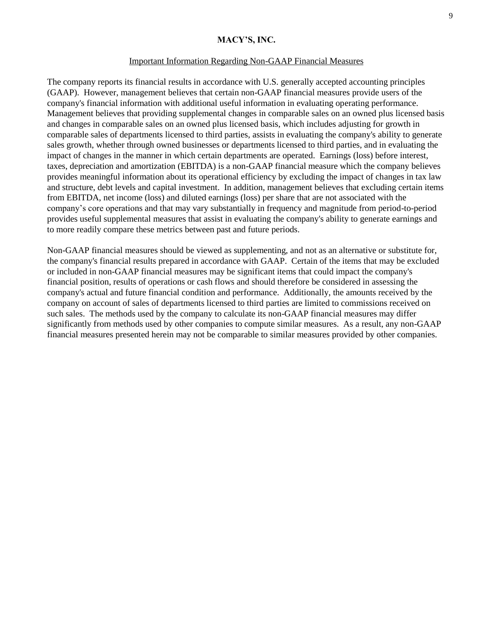#### Important Information Regarding Non-GAAP Financial Measures

The company reports its financial results in accordance with U.S. generally accepted accounting principles (GAAP). However, management believes that certain non-GAAP financial measures provide users of the company's financial information with additional useful information in evaluating operating performance. Management believes that providing supplemental changes in comparable sales on an owned plus licensed basis and changes in comparable sales on an owned plus licensed basis, which includes adjusting for growth in comparable sales of departments licensed to third parties, assists in evaluating the company's ability to generate sales growth, whether through owned businesses or departments licensed to third parties, and in evaluating the impact of changes in the manner in which certain departments are operated. Earnings (loss) before interest, taxes, depreciation and amortization (EBITDA) is a non-GAAP financial measure which the company believes provides meaningful information about its operational efficiency by excluding the impact of changes in tax law and structure, debt levels and capital investment. In addition, management believes that excluding certain items from EBITDA, net income (loss) and diluted earnings (loss) per share that are not associated with the company's core operations and that may vary substantially in frequency and magnitude from period-to-period provides useful supplemental measures that assist in evaluating the company's ability to generate earnings and to more readily compare these metrics between past and future periods.

Non-GAAP financial measures should be viewed as supplementing, and not as an alternative or substitute for, the company's financial results prepared in accordance with GAAP. Certain of the items that may be excluded or included in non-GAAP financial measures may be significant items that could impact the company's financial position, results of operations or cash flows and should therefore be considered in assessing the company's actual and future financial condition and performance. Additionally, the amounts received by the company on account of sales of departments licensed to third parties are limited to commissions received on such sales. The methods used by the company to calculate its non-GAAP financial measures may differ significantly from methods used by other companies to compute similar measures. As a result, any non-GAAP financial measures presented herein may not be comparable to similar measures provided by other companies.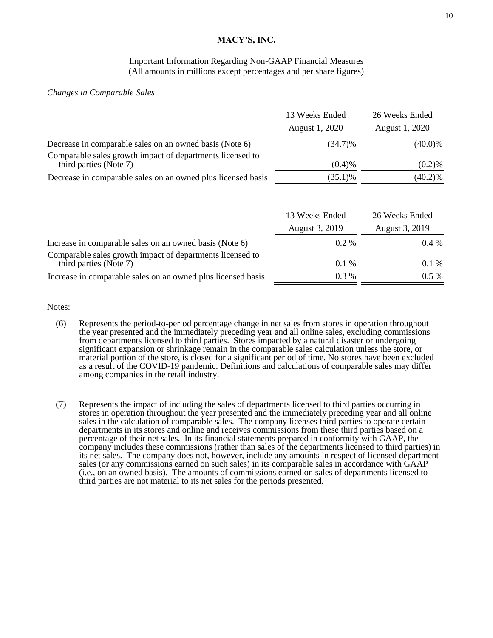#### Important Information Regarding Non-GAAP Financial Measures (All amounts in millions except percentages and per share figures)

#### *Changes in Comparable Sales*

|                                                                                     | 13 Weeks Ended<br>August 1, 2020 | 26 Weeks Ended<br>August 1, 2020 |
|-------------------------------------------------------------------------------------|----------------------------------|----------------------------------|
| Decrease in comparable sales on an owned basis (Note 6)                             | $(34.7)\%$                       | $(40.0)\%$                       |
| Comparable sales growth impact of departments licensed to<br>third parties (Note 7) | (0.4)%                           | (0.2)%                           |
| Decrease in comparable sales on an owned plus licensed basis                        | $(35.1)\%$                       | $(40.2)\%$                       |
|                                                                                     |                                  |                                  |

|                                                                                     | 13 Weeks Ended | 26 Weeks Ended |
|-------------------------------------------------------------------------------------|----------------|----------------|
|                                                                                     | August 3, 2019 | August 3, 2019 |
| Increase in comparable sales on an owned basis (Note 6)                             | $0.2\%$        | $0.4\%$        |
| Comparable sales growth impact of departments licensed to<br>third parties (Note 7) | $0.1\%$        | $0.1\%$        |
| Increase in comparable sales on an owned plus licensed basis                        | $0.3\%$        | $0.5\%$        |

Notes:

- (6) Represents the period-to-period percentage change in net sales from stores in operation throughout the year presented and the immediately preceding year and all online sales, excluding commissions from departments licensed to third parties. Stores impacted by a natural disaster or undergoing significant expansion or shrinkage remain in the comparable sales calculation unless the store, or material portion of the store, is closed for a significant period of time. No stores have been excluded as a result of the COVID-19 pandemic. Definitions and calculations of comparable sales may differ among companies in the retail industry.
- (7) Represents the impact of including the sales of departments licensed to third parties occurring in stores in operation throughout the year presented and the immediately preceding year and all online sales in the calculation of comparable sales. The company licenses third parties to operate certain departments in its stores and online and receives commissions from these third parties based on a percentage of their net sales. In its financial statements prepared in conformity with GAAP, the company includes these commissions (rather than sales of the departments licensed to third parties) in its net sales. The company does not, however, include any amounts in respect of licensed department sales (or any commissions earned on such sales) in its comparable sales in accordance with GAAP (i.e., on an owned basis). The amounts of commissions earned on sales of departments licensed to third parties are not material to its net sales for the periods presented.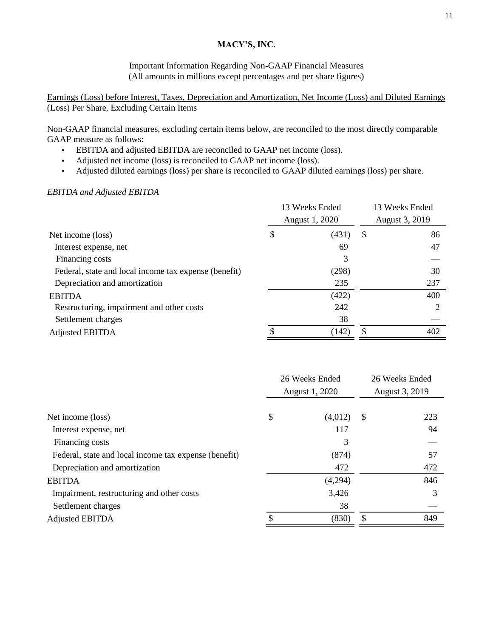## Important Information Regarding Non-GAAP Financial Measures (All amounts in millions except percentages and per share figures)

Earnings (Loss) before Interest, Taxes, Depreciation and Amortization, Net Income (Loss) and Diluted Earnings (Loss) Per Share, Excluding Certain Items

Non-GAAP financial measures, excluding certain items below, are reconciled to the most directly comparable GAAP measure as follows:

- EBITDA and adjusted EBITDA are reconciled to GAAP net income (loss).
- Adjusted net income (loss) is reconciled to GAAP net income (loss).
- Adjusted diluted earnings (loss) per share is reconciled to GAAP diluted earnings (loss) per share.

## *EBITDA and Adjusted EBITDA*

|                                                       |   | 13 Weeks Ended<br>August 1, 2020 | 13 Weeks Ended<br>August 3, 2019 |     |  |
|-------------------------------------------------------|---|----------------------------------|----------------------------------|-----|--|
| Net income (loss)                                     | D | (431)                            | S                                | 86  |  |
| Interest expense, net                                 |   | 69                               |                                  | 47  |  |
| Financing costs                                       |   | 3                                |                                  |     |  |
| Federal, state and local income tax expense (benefit) |   | (298)                            |                                  | 30  |  |
| Depreciation and amortization                         |   | 235                              |                                  | 237 |  |
| <b>EBITDA</b>                                         |   | (422)                            |                                  | 400 |  |
| Restructuring, impairment and other costs             |   | 242                              |                                  |     |  |
| Settlement charges                                    |   | 38                               |                                  |     |  |
| <b>Adjusted EBITDA</b>                                |   | (142)                            | \$                               | 402 |  |

|               | 26 Weeks Ended                   |                |  |
|---------------|----------------------------------|----------------|--|
|               |                                  | August 3, 2019 |  |
|               |                                  |                |  |
| \$<br>(4,012) | <sup>\$</sup>                    | 223            |  |
| 117           |                                  | 94             |  |
| 3             |                                  |                |  |
| (874)         |                                  | 57             |  |
| 472           |                                  | 472            |  |
| (4,294)       |                                  | 846            |  |
| 3,426         |                                  | 3              |  |
| 38            |                                  |                |  |
| (830)         | S                                | 849            |  |
|               | 26 Weeks Ended<br>August 1, 2020 |                |  |